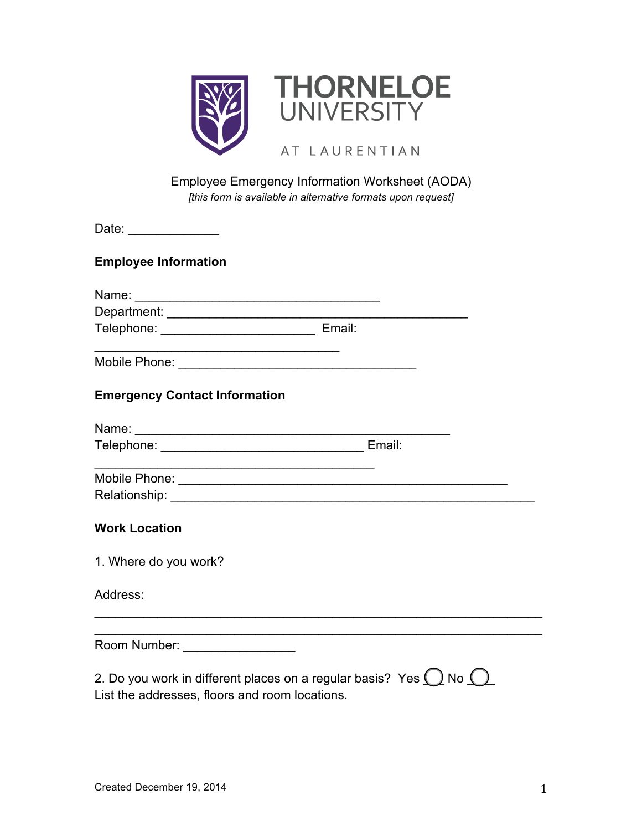

## Employee Emergency Information Worksheet (AODA) *[this form is available in alternative formats upon request]*

| Date: ______________                                                                                                  |                                                                                  |
|-----------------------------------------------------------------------------------------------------------------------|----------------------------------------------------------------------------------|
| <b>Employee Information</b>                                                                                           |                                                                                  |
|                                                                                                                       |                                                                                  |
|                                                                                                                       |                                                                                  |
| Telephone: __________________________________ Email:                                                                  |                                                                                  |
| <u> 1989 - Johann Harry Barn, mars and de Branch and de Branch and de Branch and de Branch and de Branch and de B</u> |                                                                                  |
| <b>Emergency Contact Information</b>                                                                                  |                                                                                  |
|                                                                                                                       |                                                                                  |
|                                                                                                                       |                                                                                  |
|                                                                                                                       |                                                                                  |
|                                                                                                                       |                                                                                  |
| <b>Work Location</b>                                                                                                  |                                                                                  |
| 1. Where do you work?                                                                                                 |                                                                                  |
| Address:                                                                                                              | ,我们也不会有什么。""我们的人,我们也不会有什么?""我们的人,我们也不会有什么?""我们的人,我们也不会有什么?""我们的人,我们也不会有什么?""我们的人 |
|                                                                                                                       |                                                                                  |
| Room Number: _________________                                                                                        |                                                                                  |
| 2. Do you work in different places on a regular basis? Yes $\bigcirc$ No $\bigcirc$                                   |                                                                                  |

List the addresses, floors and room locations.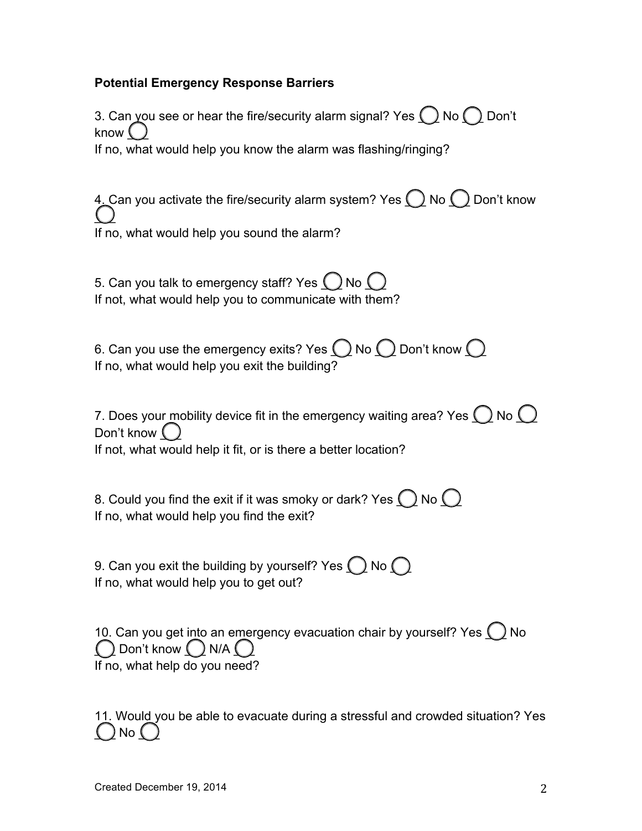## **Potential Emergency Response Barriers**

3. Can you see or hear the fire/security alarm signal? Yes  $\bigcap$  No  $\bigcap$  Don't know  $\binom{1}{2}$ If no, what would help you know the alarm was flashing/ringing? 4. Can you activate the fire/security alarm system? Yes  $\bigcap$  No  $\bigcap$  Don't know  $\cup$ If no, what would help you sound the alarm? 5. Can you talk to emergency staff? Yes  $\bigcap$  No  $\bigcap$ If not, what would help you to communicate with them? 6. Can you use the emergency exits? Yes  $\bigcirc$  No  $\bigcirc$  Don't know  $\bigcirc$ If no, what would help you exit the building? 7. Does your mobility device fit in the emergency waiting area? Yes  $\bigcap$  No  $\bigcap$ Don't know  $\bigcirc$ If not, what would help it fit, or is there a better location? 8. Could you find the exit if it was smoky or dark? Yes  $\bigcap$  No  $\bigcap$ If no, what would help you find the exit? 9. Can you exit the building by yourself? Yes  $\bigcap$  No  $\bigcap$ If no, what would help you to get out? 10. Can you get into an emergency evacuation chair by yourself? Yes  $\bigcirc$  No  $\bigcap$  Don't know  $\bigcap$  N/A  $\bigcap$ If no, what help do you need?

11. Would you be able to evacuate during a stressful and crowded situation? Yes ) No  $\mathcal C$